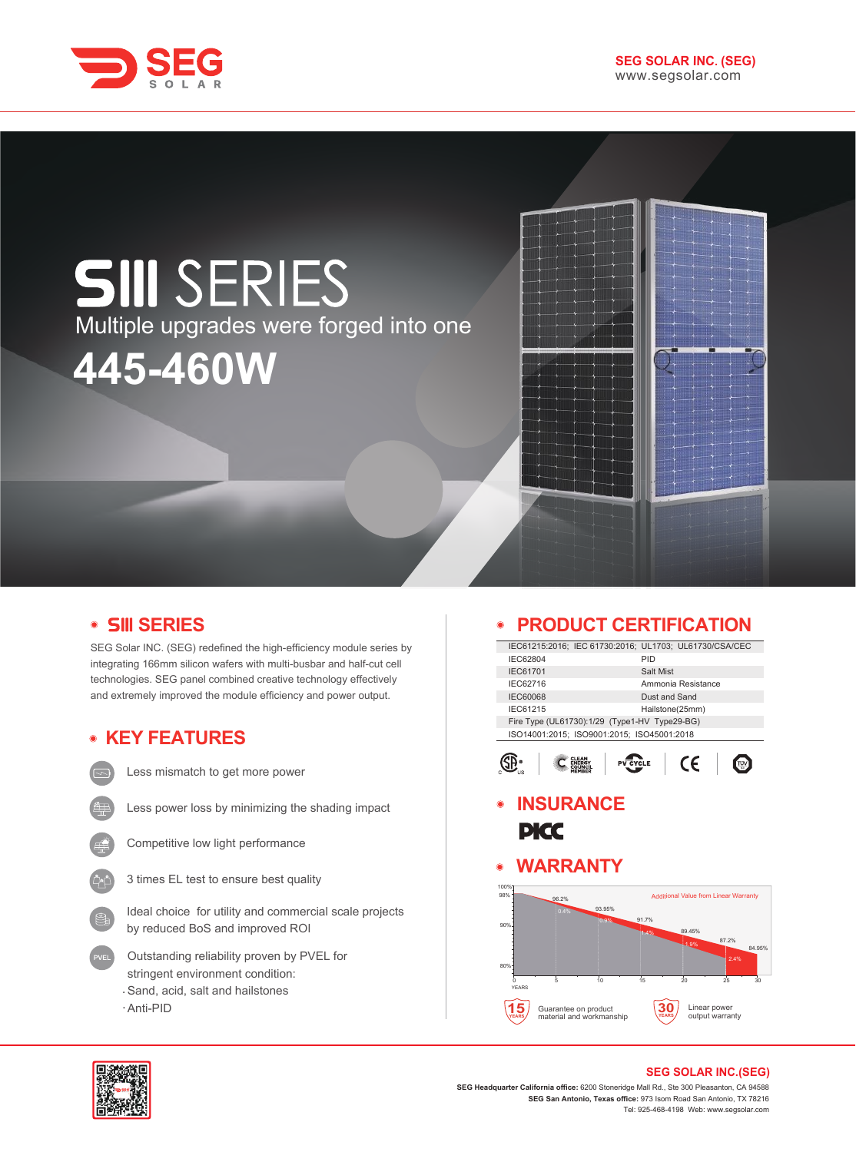

# **SIII** SERIES Multiple upgrades were forged into one**445-460W**

# **SERIES**

SEG Solar INC. (SEG) redefined the high-efficiency module series by integrating 166mm silicon wafers with multi-busbar and half-cut cell technologies. SEG panel combined creative technology effectively and extremely improved the module efficiency and power output.

# **KEY FEATURES**

Less mismatch to get more power

- 
- Less power loss by minimizing the shading impact
- - Competitive low light performance
	- 3 times EL test to ensure best quality
	- Ideal choice for utility and commercial scale projects by reduced BoS and improved ROI
	- Outstanding reliability proven by PVEL for stringent environment condition: Sand, acid, salt and hailstones
	- Anti-PID

# **PRODUCT CERTIFICATION**

|                                               |                    | IEC61215:2016; IEC 61730:2016; UL1703; UL61730/CSA/CEC |  |  |
|-----------------------------------------------|--------------------|--------------------------------------------------------|--|--|
| IEC62804                                      | PID                |                                                        |  |  |
| <b>IEC61701</b>                               | Salt Mist          |                                                        |  |  |
| IEC62716                                      | Ammonia Resistance |                                                        |  |  |
| <b>IEC60068</b>                               | Dust and Sand      |                                                        |  |  |
| IEC61215                                      | Hailstone(25mm)    |                                                        |  |  |
| Fire Type (UL61730):1/29 (Type1-HV Type29-BG) |                    |                                                        |  |  |
| ISO14001:2015; ISO9001:2015; ISO45001:2018    |                    |                                                        |  |  |
|                                               |                    |                                                        |  |  |
| <b>CLEAN</b>                                  |                    | ′ ←                                                    |  |  |
|                                               |                    |                                                        |  |  |

# **INSURANCE PICC**

# **WARRANTY**





#### **SEG SOLAR INC.(SEG)**

**SEG Headquarter California office:** 6200 Stoneridge Mall Rd., Ste 300 Pleasanton, CA 94588 **SEG San Antonio, Texas office:** 973 Isom Road San Antonio, TX 78216 Tel: 925-468-4198 Web: www.segsolar.com